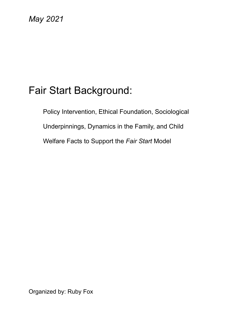# *May 2021*

# Fair Start Background:

Policy Intervention, Ethical Foundation, Sociological Underpinnings, Dynamics in the Family, and Child Welfare Facts to Support the *Fair Start* Model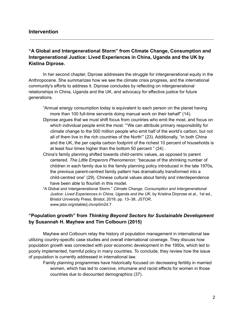#### **Intervention**

#### **"A Global and Intergenerational Storm" from Climate Change, Consumption and Intergenerational Justice: Lived Experiences in China, Uganda and the UK by Kistina Diprose.**

In her second chapter, Diprose addresses the struggle for intergenerational equity in the Anthropocene. She summarizes how we see the climate crisis progress, and the international community's efforts to address it. Diprose concludes by reflecting on intergenerational relationships in China, Uganda and the UK, and advocacy for effective justice for future generations.

"Annual energy consumption today is equivalent to each person on the planet having more than 100 full-time servants doing manual work on their behalf" (14). Diprose argues that we must shift focus from countries who emit the most, and focus on which individual people emit the most. "'We can attribute primary responsibility for climate change to the 500 million people who emit half of the world's carbon, but not all of them live in the rich countries of the North'" (23). Additionally, "in both China and the UK, the per capita carbon footprint of the richest 10 percent of households is at least four times higher than the bottom 50 percent " (24) .

- China's family planning shifted towards child-centric values, as opposed to parent centered. *The Little Emperors Phenomenon:* "because of the shrinking number of children in each family due to the family planning policy introduced in the late 1970s, the previous parent-centred family pattern has dramatically transformed into a child-centred one" (29). Chinese cultural values about family and interdependence have been able to flourish in this model.
- "A Global and Intergenerational Storm." *Climate Change, Consumption and Intergenerational Justice: Lived Experiences in China, Uganda and the UK*, by Kristina Dirprose et al., 1st ed., Bristol University Press, Bristol, 2019, pp. 13–38. *JSTOR*, [www.jstor.org/stable/j.ctvnp0m2d.7.](http://www.jstor.org/stable/j.ctvnp0m2d.7)

#### **"Population growth" from** *Thinking Beyond Sectors for Sustainable Development* **by Susannah H. Mayhew and Tim Colbourn (2015)**

Mayhew and Colbourn relay the history of population management in international law utilizing country-specific case studies and overall international coverage. They discuss how population growth was connected with poor economic development in the 1950s, which led to poorly implemented, harmful policy in many countries. To conclude, they review how the issue of population is currently addressed in international law.

Family planning programmes have historically focused on decreasing fertility in married women, which has led to coercive, inhumane and racist effects for women in those countries due to discounted demographics (37).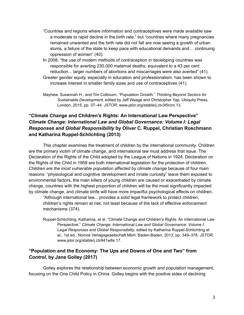- "Countries and regions where information and contraceptives were made available saw a moderate to rapid decline in the birth rate," but "countries where many pregnancies remained unwanted and the birth rate did not fall are now seeing a growth of urban slums, a failure of the state to keep pace with educational demands and… continuing oppression of women" (40).
- In 2008, "the use of modern methods of contraception in developing countries was responsible for averting 230,000 maternal deaths, equivalent to a 43 per cent reduction... larger numbers of abortions and miscarriages were also averted" (41).
- Greater gender equity, especially in education and professionalism, has been shown to increase interest in smaller family sizes and use of contraceptives (41).

Mayhew, Susannah H., and Tim Colbourn. "Population Growth." *Thinking Beyond Sectors for Sustainable Development*, edited by Jeff Waage and Christopher Yap, Ubiquity Press, London, 2015, pp. 37–44. *JSTOR*, www.jstor.org/stable/j.ctv3t5rcm.13.

# **"Climate Change and Children's Rights: An International Law Perspective"** *Climate Change: International Law and Global Governance: Volume I: Legal Responses and Global Responsibility* **by Oliver C. Ruppel, Christian Roschmann and Katharina Ruppel-Schlichting (2013)**

This chapter examines the treatment of children by the international community. Children are the primary victim of climate change, and international law must address that issue. The Declaration of the Rights of the Child adopted by the League of Nations in 1924, Declaration on the Rights of the Child in 1959 are both international legislation for the protection of children. *Children are the most vulnerable population affected by climate change* because of four main reasons: "physiological and cognitive development and innate curiosity" leave them exposed to environmental factors, the main killers of young children are caused or exacerbated by climate change, countries with the highest proportion of children will be the most significantly impacted by climate change, and climate strife will have more impactful psychological effects on children.

"Although international law... provides a solid legal framework to protect children, children's rights remain at risk, not least because of the lack of effective enforcement mechanisms (374).

Ruppel-Schlichting, Katharina, et al. "Climate Change and Children's Rights: An International Law Perspective." *Climate Change: International Law and Global Governance: Volume I: Legal Responses and Global Responsibility*, edited by Katharina Ruppel-Schlichting et al., 1st ed., Nomos Verlagsgesellschaft MbH, Baden-Baden, 2013, pp. 349–378. *JSTOR*, [www.jstor.org/stable/j.ctv941w8s.17.](http://www.jstor.org/stable/j.ctv941w8s.17)

### **"Population and the Economy: The Ups and Downs of One and Two" from** *Control***, by Jane Golley (2017)**

Golley explores the relationship between economic growth and population management, focusing on the One Child Policy in China. Golley begins with the positive sides of declining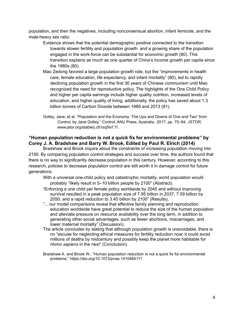population, and then the negatives, including nonconsensual abortion, infant femicide, and the male-heavy sex ratio.

- Evidence shows that the potential demographic positive connected to the transition towards slower fertility and population growth and a growing share of the population engaged in the work-force can be substantial for economic growth (80). This transition explains as much as one quarter of China's income growth per capita since the 1980s (80).
- Mao Zedong favored a large population growth rate, but the "improvements in health care, female education, life expectancy, and infant mortality" (80), led to rapidly declining population growth in the first 30 years of Chinese communism until Mao recognized the need for reproductive policy. The highlights of the One Child Policy and higher per capita earnings include higher quality nutrition, increased levels of education, and higher quality of living; additionally, the policy has saved about 1.3 billion tonnes of Carbon Dioxide between 1989 and 2013 (81).
- Golley, Jane, et al. "Population and the Economy: The Ups and Downs of One and Two" from *Control*, by Jane Golley." *Control*, ANU Press, Australia, 2017, pp. 75–94. *JSTOR*, www.jstor.org/stable/j.ctt1sq5tvf.11.

#### **"Human population reduction is not a quick fix for environmental problems" by Corey J. A. Bradshaw and Barry W. Brook, Edited by Paul R. Elrich (2014)**

Bradshaw and Brook inquire about the constraints of increasing population moving into 2100. By comparing population control strategies and success over time, the authors found that there is no way to significantly decrease population in this century. However, according to this research, policies to decrease population control are still worth it in damage control for future generations.

- With a universal one-child policy and catastrophic mortality, world population would probably "likely result in 5–10 billion people by 2100" (Abstract).
- "Enforcing a one child per female policy worldwide by 2045 and without improving survival resulted in a peak population size of 7.95 billion in 2037, 7.59 billion by 2050, and a rapid reduction to 3.45 billion by 2100" (Results).
- "... our model comparisons reveal that effective family planning and reproduction education worldwide have great potential to reduce the size of the human population and alleviate pressure on resource availability over the long term, in addition to generating other social advantages, such as fewer abortions, miscarriages, and lower maternal mortality" (Discussion).
- The article concludes by stating that although population growth is unavoidable, there is no "excuse for neglecting ethical measures for fertility reduction now; it could avoid millions of deaths by midcentury and possibly keep the planet more habitable for *Homo sapiens* in the next" (Conclusion).
- Bradshaw A. and Brook W., "Human population reduction is not a quick fix for environmental problems," <https://doi.org/10.1073/pnas.1410465111>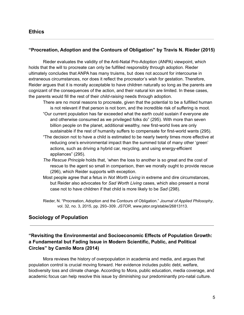#### **"Procreation, Adoption and the Contours of Obligation" by Travis N. Rieder (2015)**

Rieder evaluates the validity of the Anti-Natal Pro-Adoption (ANPA) viewpoint, which holds that the will to procreate can only be fulfilled responsibly through adoption. Rieder ultimately concludes that ANPA has many truisms, but does not account for intercourse in extraneous circumstances, nor does it reflect the procreator's wish for gestation. Therefore, Reider argues that it is morally acceptable to have children naturally so long as the parents are cognizant of the consequences of the action, and their natural kin are limited. In these cases, the parents would fill the rest of their *child-raising* needs through adoption.

- There are no moral reasons to procreate, given that the potential to be a fulfilled human is not relevant if that person is not born, and the incredible risk of suffering is moot.
- "Our current population has far exceeded what the earth could sustain if everyone ate and otherwise consumed as we privileged folks do" (295). With more than seven billion people on the planet, additional wealthy, new first-world lives are only sustainable if the rest of humanity suffers to compensate for first-world wants (295).
- "The decision not to have a child is estimated to be nearly twenty times more effective at reducing one's environmental impact than the summed total of many other 'green' actions, such as driving a hybrid car, recycling, and using energy-efficient appliances" (295).
- *The Rescue Principle* holds that, 'when the loss to another is so great and the cost of rescue to the agent so small in comparison, then we morally ought to provide rescue (296), which Reider supports with exception.
- Most people agree that a fetus in *Not Worth Living* in extreme and dire circumstances, but Reider also advocates for *Sad Worth Living* cases, which also present a moral case not to have children if that child is more likely to be *Sad* (298).
- Rieder, N. "Procreation, Adoption and the Contours of Obligation." *Journal of Applied Philosophy*, vol. 32, no. 3, 2015, pp. 293–309. *JSTOR*, [www.jstor.org/stable/26813113](http://www.jstor.org/stable/26813113).

# **Sociology of Population**

### **"Revisiting the Environmental and Socioeconomic Effects of Population Growth: a Fundamental but Fading Issue in Modern Scientific, Public, and Political Circles" by Camilo Mora (2014)**

Mora reviews the history of overpopulation in academia and media, and argues that population control is crucial moving forward. Her evidence includes public debt, welfare, biodiversity loss and climate change. According to Mora, public education, media coverage, and academic focus can help resolve this issue by diminishing our predominantly pro-natal culture.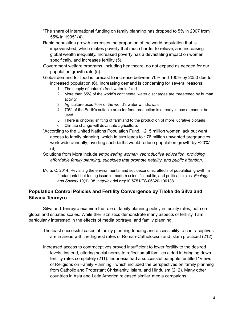- "The share of international funding on family planning has dropped to ̃5% in 2007 from ̃55% in 1995" (4).
- Rapid population growth increases the proportion of the world population that is impoverished, which makes poverty that much harder to relieve, and increasing global wealth inequality. Increased poverty has a devastating impact on women specifically, and increases fertility (5).
- Government welfare programs, including healthcare, do not expand as needed for our population growth rate (5).
- Global demand for food is forecast to increase between 70% and 100% by 2050 due to increased population (6). Increasing demand is concerning for several reasons:
	- 1. The supply of nature's freshwater is fixed.
	- 2. More than 65% of the world's continental water discharges are threatened by human activity.
	- 3. Agriculture uses 70% of the world's water withdrawals
	- 4. 70% of the Earth's suitable area for food production is already in use or cannot be used.
	- 5. There is ongoing shifting of farmland to the production of more lucrative biofuels
	- 6. Climate change will devastate agriculture.
- "According to the United Nations Population Fund, ~215 million women lack but want access to family planning, which in turn leads to ~76 million unwanted pregnancies worldwide annually; averting such births would reduce population growth by ~20%" (6).
- Solutions from Mora include *empowering women, reproductive education, providing affordable family planning, subsidies that promote natality, and public attention*.
- Mora, C. 2014. Revisiting the environmental and socioeconomic effects of population growth: a fundamental but fading issue in modern scientific, public, and political circles. *Ecology and Society* 19(1): 38. <http://dx.doi.org/10.5751/ES-06320-190138>

# **Population Control Policies and Fertility Convergence by Tiloka de Silva and Silvana Tenreyro**

Silva and Tenreyro examine the role of family planning policy in fertility rates, both on global and situated scales. While their statistics demonstrate many aspects of fertility, I am particularly interested in the effects of media portrayal and family planning.

- The least successful cases of family planning funding and accessibility to contraceptives are in areas with the highest rates of Roman-Catholocism and Islam practiced (212).
- Increased access to contraceptives proved insufficient to lower fertility to the desired levels; instead, altering social norms to reflect small families aided in bringing down fertility rates completely (211). Indonesia had a successful pamphlet entitled "Views of Religions on Family Planning," which included the perspectives on family planning from Catholic and Protestant Christianity, Islam, and Hinduism (212). Many other countries in Asia and Latin America released similar media campaigns.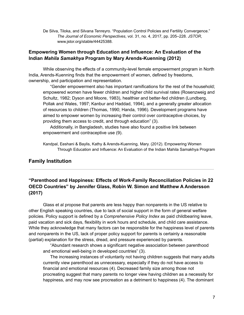De Silva, Tiloka, and Silvana Tenreyro. "Population Control Policies and Fertility Convergence." *The Journal of Economic Perspectives*, vol. 31, no. 4, 2017, pp. 205–228. *JSTOR*, [www.jstor.org/stable/44425388](http://www.jstor.org/stable/44425388).

#### **Empowering Women through Education and Influence: An Evaluation of the Indian** *Mahila Samakhya* **Program by Mary Arends-Kuenning (2012)**

While observing the effects of a community-level female empowerment program in North India, Arends-Kuenning finds that the empowerment of women, defined by freedoms, ownership, and participation and representation.

"Gender empowerment also has important ramifications for the rest of the household; empowered women have fewer children and higher child survival rates (Rosenzweig and Schultz, 1982; Dyson and Moore, 1983), healthier and better-fed children (Lundberg, Pollak and Wales, 1997; Kanbur and Haddad, 1994), and a generally greater allocation of resources to children (Thomas, 1990; Handa, 1996). Development programs have aimed to empower women by increasing their control over contraceptive choices, by providing them access to credit, and through education" (3).

Additionally, in Bangladesh, studies have also found a positive link between empowerment and contraceptive use (9).

Kandpal, Eeshani & Baylis, Kathy & Arends-Kuenning, Mary. (2012). Empowering Women Through Education and Influence: An Evaluation of the Indian Mahila Samakhya Program

#### **Family Institution**

## **"Parenthood and Happiness: Effects of Work-Family Reconciliation Policies in 22 OECD Countries" by Jennifer Glass, Robin W. Simon and Matthew A Andersson (2017)**

Glass et al propose that parents are less happy than nonparents in the US relative to other English speaking countries, due to lack of social support in the form of general welfare policies. Policy support is defined by a *Comprehensive Policy Index* as paid childbearing leave, paid vacation and sick days, flexibility in work hours and schedule, and child care assistance. While they acknowledge that many factors can be responsible for the happiness level of parents and nonparents in the US, lack of proper policy support for parents is certainly a reasonable (partial) explanation for the stress, dread, and pressure experienced by parents.

"Abundant research shows a significant negative association between parenthood and emotional well-being in developed countries" (3).

The increasing instances of voluntarily not having children suggests that many adults currently view parenthood as unnecessary, especially if they do not have access to financial and emotional resources (4). Decreased family size among those not procreating suggest that many parents no longer view having children as a necessity for happiness, and may now see procreation as a detriment to happiness (4). The dominant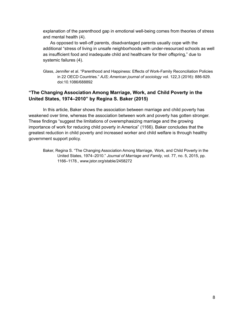explanation of the parenthood gap in emotional well-being comes from theories of stress and mental health (4).

As opposed to well-off parents, disadvantaged parents usually cope with the additional "stress of living in unsafe neighborhoods with under-resourced schools as well as insufficient food and inadequate child and healthcare for their offspring," due to systemic failures (4).

Glass, Jennifer et al. "Parenthood and Happiness: Effects of Work-Family Reconciliation Policies in 22 OECD Countries." *AJS; American journal of sociology* vol. 122,3 (2016): 886-929. doi:10.1086/688892

#### **"The Changing Association Among Marriage, Work, and Child Poverty in the United States, 1974–2010" by Regina S. Baker (2015)**

In this article, Baker shows the association between marriage and child poverty has weakened over time, whereas the association between work and poverty has gotten stronger. These findings "suggest the limitations of overemphasizing marriage and the growing importance of work for reducing child poverty in America" (1166). Baker concludes that the greatest reduction in child poverty and increased worker and child welfare is through healthy government support policy.

Baker, Regina S. "The Changing Association Among Marriage, Work, and Child Poverty in the United States, 1974–2010." *Journal of Marriage and Family*, vol. 77, no. 5, 2015, pp. 1166–1178., [www.jstor.org/stable/2458272](http://www.jstor.org/stable/24582728)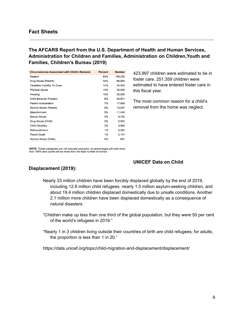#### **The AFCARS Report from the U.S. Department of Health and Human Services, Administration for Children and Families, Administration on Children,Youth and Families, Children's Bureau (2019)**

| <b>Circumstances Associated with Child's Removal</b> | <b>Percent</b> | <b>Number</b> |
|------------------------------------------------------|----------------|---------------|
| Neglect                                              | 63%            | 158,258       |
| Drug Abuse (Parent)                                  | 34%            | 86,694        |
| Caretaker Inability To Cope                          | 14%            | 34,594        |
| <b>Physical Abuse</b>                                | 13%            | 32,008        |
| Housing                                              | 10%            | 25,658        |
| <b>Child Behavior Problem</b>                        | 8%             | 20,871        |
| <b>Parent Incarceration</b>                          | 7%             | 17,669        |
| Alcohol Abuse (Parent)                               | 5%             | 13,637        |
| Abandonment                                          | 5%             | 11,424        |
| Sexual Abuse                                         | 4%             | 9,782         |
| Drug Abuse (Child)                                   | 2%             | 5,500         |
| <b>Child Disability</b>                              | 2%             | 3,969         |
| Relinquishment                                       | 1%             | 2,350         |
| <b>Parent Death</b>                                  | 1%             | 2,141         |
| Alcohol Abuse (Child)                                | 0%             | 991           |

423,997 children were estimated to be in foster care. 251,359 children were estimated to have entered foster care in this fiscal year.

The most common reason for a child's removal from the home was neglect.

NOTE: These categories are not mutually exclusive, so percentages will total more than 100% and counts will be more than the total number of entries.

#### **UNICEF Data on Child**

#### **Displacement (2019):**

- Nearly 33 million children have been forcibly displaced globally by the end of 2019, including 12.6 million child refugees, nearly 1.5 million asylum-seeking children, and about 19.4 million children displaced domestically due to unsafe conditions. Another 2.1 million more children have been displaced domestically as a consequence of natural disasters.
- "Children make up less than one third of the global population, but they were 50 per cent of the world's refugees in 2019."
- "Nearly 1 in 3 children living outside their countries of birth are child refugees; for adults, the proportion is less than 1 in 20."

<https://data.unicef.org/topic/child-migration-and-displacement/displacement/>